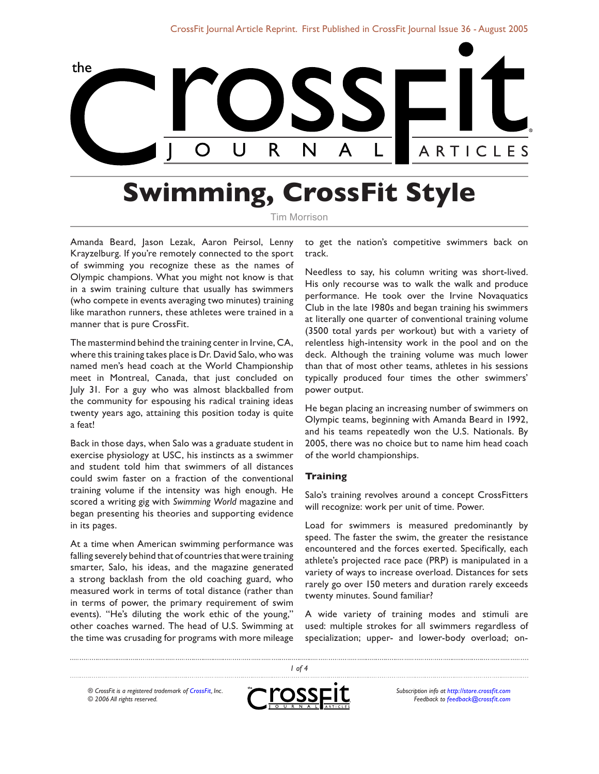

# **Swimming, CrossFit Style**

Tim Morrison

Amanda Beard, Jason Lezak, Aaron Peirsol, Lenny Krayzelburg. If you're remotely connected to the sport of swimming you recognize these as the names of Olympic champions. What you might not know is that in a swim training culture that usually has swimmers (who compete in events averaging two minutes) training like marathon runners, these athletes were trained in a manner that is pure CrossFit.

The mastermind behind the training center in Irvine, CA, where this training takes place is Dr. David Salo, who was named men's head coach at the World Championship meet in Montreal, Canada, that just concluded on July 31. For a guy who was almost blackballed from the community for espousing his radical training ideas twenty years ago, attaining this position today is quite a feat!

Back in those days, when Salo was a graduate student in exercise physiology at USC, his instincts as a swimmer and student told him that swimmers of all distances could swim faster on a fraction of the conventional training volume if the intensity was high enough. He scored a writing gig with *Swimming World* magazine and began presenting his theories and supporting evidence in its pages.

At a time when American swimming performance was falling severely behind that of countries that were training smarter, Salo, his ideas, and the magazine generated a strong backlash from the old coaching guard, who measured work in terms of total distance (rather than in terms of power, the primary requirement of swim events). "He's diluting the work ethic of the young," other coaches warned. The head of U.S. Swimming at the time was crusading for programs with more mileage

to get the nation's competitive swimmers back on track.

Needless to say, his column writing was short-lived. His only recourse was to walk the walk and produce performance. He took over the Irvine Novaquatics Club in the late 1980s and began training his swimmers at literally one quarter of conventional training volume (3500 total yards per workout) but with a variety of relentless high-intensity work in the pool and on the deck. Although the training volume was much lower than that of most other teams, athletes in his sessions typically produced four times the other swimmers' power output.

He began placing an increasing number of swimmers on Olympic teams, beginning with Amanda Beard in 1992, and his teams repeatedly won the U.S. Nationals. By 2005, there was no choice but to name him head coach of the world championships.

#### **Training**

Salo's training revolves around a concept CrossFitters will recognize: work per unit of time. Power.

Load for swimmers is measured predominantly by speed. The faster the swim, the greater the resistance encountered and the forces exerted. Specifically, each athlete's projected race pace (PRP) is manipulated in a variety of ways to increase overload. Distances for sets rarely go over 150 meters and duration rarely exceeds twenty minutes. Sound familiar?

A wide variety of training modes and stimuli are used: multiple strokes for all swimmers regardless of specialization; upper- and lower-body overload; on-

*® CrossFit is a registered trademark of [CrossFit,](http://www.crossfit.com) Inc. © 2006 All rights reserved.*



*1 of 4*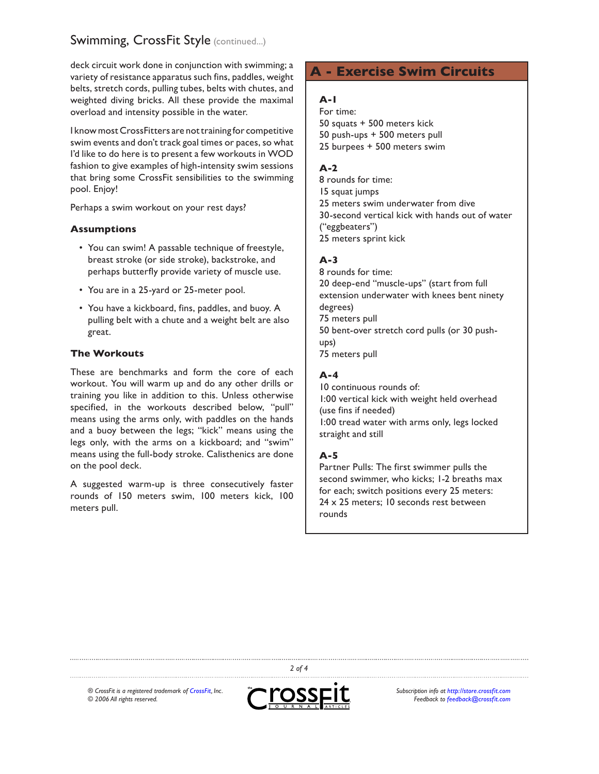# Swimming, CrossFit Style (continued...)

deck circuit work done in conjunction with swimming; a variety of resistance apparatus such fins, paddles, weight belts, stretch cords, pulling tubes, belts with chutes, and weighted diving bricks. All these provide the maximal overload and intensity possible in the water.

I know most CrossFitters are not training for competitive swim events and don't track goal times or paces, so what I'd like to do here is to present a few workouts in WOD fashion to give examples of high-intensity swim sessions that bring some CrossFit sensibilities to the swimming pool. Enjoy!

Perhaps a swim workout on your rest days?

#### **Assumptions**

- You can swim! A passable technique of freestyle, breast stroke (or side stroke), backstroke, and perhaps butterfly provide variety of muscle use.
- You are in a 25-yard or 25-meter pool.
- You have a kickboard, fins, paddles, and buoy. A pulling belt with a chute and a weight belt are also great.

#### **The Workouts**

These are benchmarks and form the core of each workout. You will warm up and do any other drills or training you like in addition to this. Unless otherwise specified, in the workouts described below, "pull" means using the arms only, with paddles on the hands and a buoy between the legs; "kick" means using the legs only, with the arms on a kickboard; and "swim" means using the full-body stroke. Calisthenics are done on the pool deck.

A suggested warm-up is three consecutively faster rounds of 150 meters swim, 100 meters kick, 100 meters pull.

# **A - Exercise Swim Circuits**

#### **A-1**

For time: 50 squats + 500 meters kick 50 push-ups + 500 meters pull 25 burpees + 500 meters swim

#### **A-2**

8 rounds for time: 15 squat jumps 25 meters swim underwater from dive 30-second vertical kick with hands out of water ("eggbeaters") 25 meters sprint kick

#### **A-3**

8 rounds for time: 20 deep-end "muscle-ups" (start from full extension underwater with knees bent ninety degrees) 75 meters pull 50 bent-over stretch cord pulls (or 30 pushups) 75 meters pull

#### **A-4**

10 continuous rounds of: 1:00 vertical kick with weight held overhead (use fins if needed) 1:00 tread water with arms only, legs locked straight and still

#### **A-5**

Partner Pulls: The first swimmer pulls the second swimmer, who kicks; 1-2 breaths max for each; switch positions every 25 meters: 24 x 25 meters; 10 seconds rest between rounds

*® CrossFit is a registered trademark of [CrossFit,](http://www.crossfit.com) Inc. © 2006 All rights reserved.*



*2 of 4*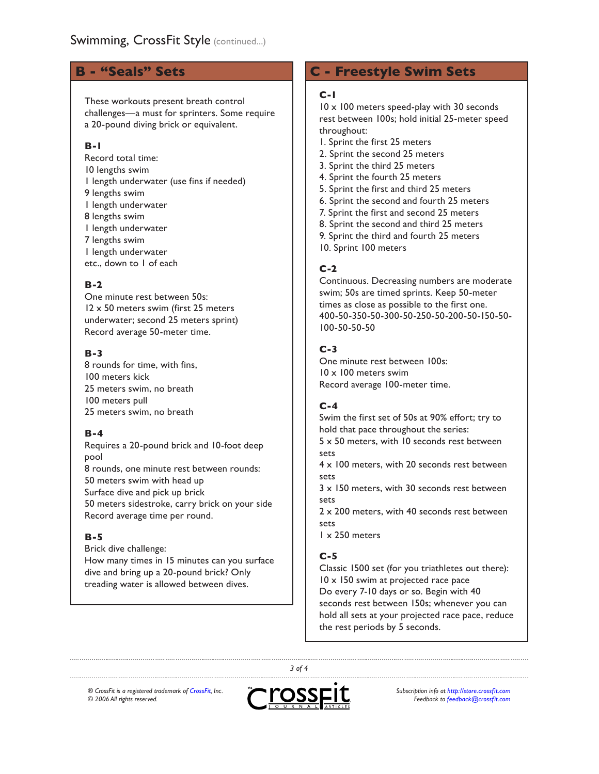# **B - "Seals" Sets**

These workouts present breath control challenges—a must for sprinters. Some require a 20-pound diving brick or equivalent.

#### **B-1**

Record total time: 10 lengths swim 1 length underwater (use fins if needed) 9 lengths swim 1 length underwater 8 lengths swim 1 length underwater 7 lengths swim 1 length underwater etc., down to 1 of each

#### **B-2**

One minute rest between 50s: 12 x 50 meters swim (first 25 meters underwater; second 25 meters sprint) Record average 50-meter time.

## **B-3**

8 rounds for time, with fins, 100 meters kick 25 meters swim, no breath 100 meters pull 25 meters swim, no breath

#### **B-4**

Requires a 20-pound brick and 10-foot deep pool 8 rounds, one minute rest between rounds: 50 meters swim with head up Surface dive and pick up brick 50 meters sidestroke, carry brick on your side Record average time per round.

#### **B-5**

Brick dive challenge: How many times in 15 minutes can you surface dive and bring up a 20-pound brick? Only treading water is allowed between dives.

# **C - Freestyle Swim Sets**

#### **C-1**

10 x 100 meters speed-play with 30 seconds rest between 100s; hold initial 25-meter speed throughout:

- 1. Sprint the first 25 meters
- 2. Sprint the second 25 meters
- 3. Sprint the third 25 meters
- 4. Sprint the fourth 25 meters
- 5. Sprint the first and third 25 meters
- 6. Sprint the second and fourth 25 meters
- 7. Sprint the first and second 25 meters
- 8. Sprint the second and third 25 meters
- 9. Sprint the third and fourth 25 meters
- 10. Sprint 100 meters

#### **C-2**

Continuous. Decreasing numbers are moderate swim; 50s are timed sprints. Keep 50-meter times as close as possible to the first one. 400-50-350-50-300-50-250-50-200-50-150-50- 100-50-50-50

#### **C-3**

One minute rest between 100s: 10 x 100 meters swim Record average 100-meter time.

#### **C-4**

Swim the first set of 50s at 90% effort; try to hold that pace throughout the series:

5 x 50 meters, with 10 seconds rest between sets

4 x 100 meters, with 20 seconds rest between sets

3 x 150 meters, with 30 seconds rest between sets

2 x 200 meters, with 40 seconds rest between sets

1 x 250 meters

#### **C-5**

Classic 1500 set (for you triathletes out there): 10 x 150 swim at projected race pace Do every 7-10 days or so. Begin with 40 seconds rest between 150s; whenever you can hold all sets at your projected race pace, reduce the rest periods by 5 seconds.

*® CrossFit is a registered trademark of [CrossFit,](http://www.crossfit.com) Inc. © 2006 All rights reserved.*



*3 of 4*